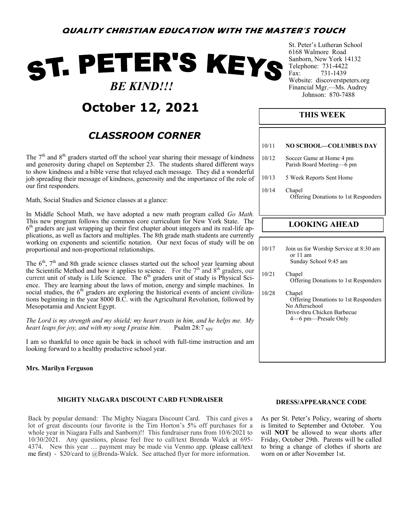# ST. PETER'S KEYS  *BE KIND!!!*

## **October 12, 2021**

### *CLASSROOM CORNER*

The  $7<sup>th</sup>$  and  $8<sup>th</sup>$  graders started off the school year sharing their message of kindness and generosity during chapel on September 23. The students shared different ways to show kindness and a bible verse that relayed each message. They did a wonderful job spreading their message of kindness, generosity and the importance of the role of our first responders.

Math, Social Studies and Science classes at a glance:

In Middle School Math, we have adopted a new math program called *Go Math.*  This new program follows the common core curriculum for New York State. The 6<sup>th</sup> graders are just wrapping up their first chapter about integers and its real-life applications, as well as factors and multiples. The 8th grade math students are currently working on exponents and scientific notation. Our next focus of study will be on proportional and non-proportional relationships.

The  $6<sup>th</sup>$ ,  $7<sup>th</sup>$  and 8th grade science classes started out the school year learning about the Scientific Method and how it applies to science. For the  $7<sup>th</sup>$  and  $8<sup>th</sup>$  graders, our current unit of study is Life Science. The  $6<sup>th</sup>$  graders unit of study is Physical Science. They are learning about the laws of motion, energy and simple machines. In social studies, the  $6<sup>th</sup>$  graders are exploring the historical events of ancient civilizations beginning in the year 8000 B.C. with the Agricultural Revolution, followed by Mesopotamia and Ancient Egypt.

*The Lord is my strength and my shield; my heart trusts in him, and he helps me. My heart leaps for joy, and with my song I praise him.* Psalm 28:7 NIV

I am so thankful to once again be back in school with full-time instruction and am looking forward to a healthy productive school year.

#### **Mrs. Marilyn Ferguson**

#### **MIGHTY NIAGARA DISCOUNT CARD FUNDRAISER**

Back by popular demand: The Mighty Niagara Discount Card. This card gives a lot of great discounts (our favorite is the Tim Horton's 5% off purchases for a whole year in Niagara Falls and Sanborn)!! This fundraiser runs from 10/6/2021 to 10/30/2021. Any questions, please feel free to call/text Brenda Walck at 695- 4374. New this year … payment may be made via Venmo app. (please call/text me first) - \$20/card to @Brenda-Walck. See attached flyer for more information.

St. Peter's Lutheran School 6168 Walmore Road Sanborn, New York 14132 Telephone: 731-4422 Fax: 731-1439 Website: discoverstpeters.org Financial Mgr.—Ms. Audrey Johnson: 870-7488

#### **THIS WEEK**

| 10/11 | NO SCHOOL—COLUMBUS DAY                                |
|-------|-------------------------------------------------------|
| 10/12 | Soccer Game at Home 4 pm<br>Parish Board Meeting—6 pm |
| 10/13 | 5 Week Reports Sent Home                              |
| 10/14 | Chapel<br>Offering Donations to 1st Responders        |
|       |                                                       |

#### **LOOKING AHEAD**

| 10/17 | Join us for Worship Service at 8:30 am<br>or 11 am<br>Sunday School 9:45 am                                                       |
|-------|-----------------------------------------------------------------------------------------------------------------------------------|
| 10/21 | Chapel<br>Offering Donations to 1st Responders                                                                                    |
| 10/28 | Chapel<br><b>Offering Donations to 1st Responders</b><br>No Afterschool<br>Drive-thru Chicken Barbecue<br>4 – 6 pm – Presale Only |

#### **DRESS/APPEARANCE CODE**

As per St. Peter's Policy, wearing of shorts is limited to September and October. You will **NOT** be allowed to wear shorts after Friday, October 29th. Parents will be called to bring a change of clothes if shorts are worn on or after November 1st.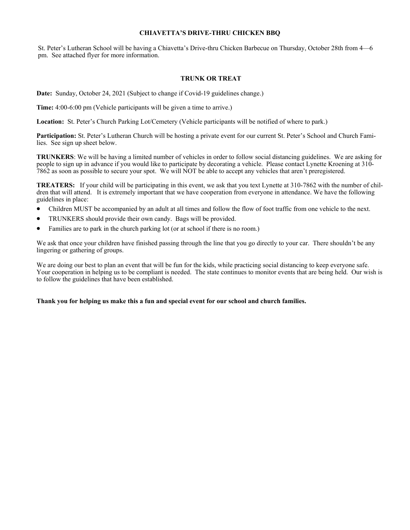#### **CHIAVETTA'S DRIVE-THRU CHICKEN BBQ**

St. Peter's Lutheran School will be having a Chiavetta's Drive-thru Chicken Barbecue on Thursday, October 28th from 4—6 pm. See attached flyer for more information.

#### **TRUNK OR TREAT**

**Date:** Sunday, October 24, 2021 (Subject to change if Covid-19 guidelines change.)

**Time:** 4:00-6:00 pm (Vehicle participants will be given a time to arrive.)

**Location:** St. Peter's Church Parking Lot/Cemetery (Vehicle participants will be notified of where to park.)

**Participation:** St. Peter's Lutheran Church will be hosting a private event for our current St. Peter's School and Church Families. See sign up sheet below.

**TRUNKERS**: We will be having a limited number of vehicles in order to follow social distancing guidelines. We are asking for people to sign up in advance if you would like to participate by decorating a vehicle. Please contact Lynette Kroening at 310- 7862 as soon as possible to secure your spot. We will NOT be able to accept any vehicles that aren't preregistered.

**TREATERS:** If your child will be participating in this event, we ask that you text Lynette at 310-7862 with the number of children that will attend. It is extremely important that we have cooperation from everyone in attendance. We have the following guidelines in place:

- Children MUST be accompanied by an adult at all times and follow the flow of foot traffic from one vehicle to the next.
- TRUNKERS should provide their own candy. Bags will be provided.
- Families are to park in the church parking lot (or at school if there is no room.)

We ask that once your children have finished passing through the line that you go directly to your car. There shouldn't be any lingering or gathering of groups.

We are doing our best to plan an event that will be fun for the kids, while practicing social distancing to keep everyone safe. Your cooperation in helping us to be compliant is needed. The state continues to monitor events that are being held. Our wish is to follow the guidelines that have been established.

#### **Thank you for helping us make this a fun and special event for our school and church families.**